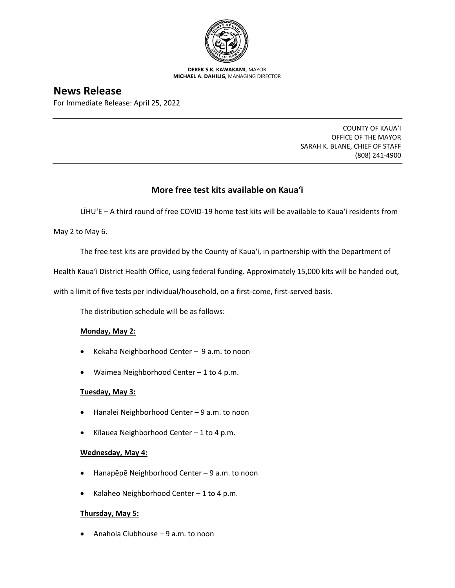

**DEREK S.K. KAWAKAMI,** MAYOR **MICHAEL A. DAHILIG,** MANAGING DIRECTOR

# **News Release**

For Immediate Release: April 25, 2022

COUNTY OF KAUA'I OFFICE OF THE MAYOR SARAH K. BLANE, CHIEF OF STAFF (808) 241-4900

# **More free test kits available on Kaua'i**

LĪHUʻE – A third round of free COVID-19 home test kits will be available to Kaua'i residents from

May 2 to May 6.

The free test kits are provided by the County of Kaua'i, in partnership with the Department of

Health Kaua'i District Health Office, using federal funding. Approximately 15,000 kits will be handed out,

with a limit of five tests per individual/household, on a first-come, first-served basis.

The distribution schedule will be as follows:

## **Monday, May 2:**

- Kekaha Neighborhood Center 9 a.m. to noon
- Waimea Neighborhood Center 1 to 4 p.m.

## **Tuesday, May 3:**

- Hanalei Neighborhood Center 9 a.m. to noon
- Kīlauea Neighborhood Center 1 to 4 p.m.

## **Wednesday, May 4:**

- Hanapēpē Neighborhood Center 9 a.m. to noon
- Kalāheo Neighborhood Center 1 to 4 p.m.

## **Thursday, May 5:**

• Anahola Clubhouse – 9 a.m. to noon